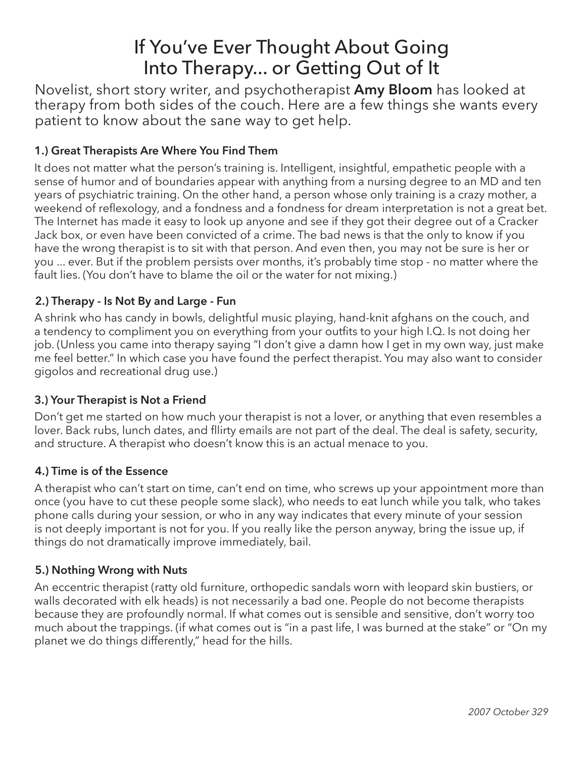# If You've Ever Thought About Going Into Therapy... or Getting Out of It

Novelist, short story writer, and psychotherapist **Amy Bloom** has looked at therapy from both sides of the couch. Here are a few things she wants every patient to know about the sane way to get help.

# **1.) Great Therapists Are Where You Find Them**

It does not matter what the person's training is. Intelligent, insightful, empathetic people with a sense of humor and of boundaries appear with anything from a nursing degree to an MD and ten years of psychiatric training. On the other hand, a person whose only training is a crazy mother, a weekend of reflexology, and a fondness and a fondness for dream interpretation is not a great bet. The Internet has made it easy to look up anyone and see if they got their degree out of a Cracker Jack box, or even have been convicted of a crime. The bad news is that the only to know if you have the wrong therapist is to sit with that person. And even then, you may not be sure is her or you ... ever. But if the problem persists over months, it's probably time stop - no matter where the fault lies. (You don't have to blame the oil or the water for not mixing.)

# **2.) Therapy - Is Not By and Large - Fun**

A shrink who has candy in bowls, delightful music playing, hand-knit afghans on the couch, and a tendency to compliment you on everything from your outfits to your high I.Q. Is not doing her job. (Unless you came into therapy saying "I don't give a damn how I get in my own way, just make me feel better." In which case you have found the perfect therapist. You may also want to consider gigolos and recreational drug use.)

## **3.) Your Therapist is Not a Friend**

Don't get me started on how much your therapist is not a lover, or anything that even resembles a lover. Back rubs, lunch dates, and fllirty emails are not part of the deal. The deal is safety, security, and structure. A therapist who doesn't know this is an actual menace to you.

## **4.) Time is of the Essence**

A therapist who can't start on time, can't end on time, who screws up your appointment more than once (you have to cut these people some slack), who needs to eat lunch while you talk, who takes phone calls during your session, or who in any way indicates that every minute of your session is not deeply important is not for you. If you really like the person anyway, bring the issue up, if things do not dramatically improve immediately, bail.

## **5.) Nothing Wrong with Nuts**

An eccentric therapist (ratty old furniture, orthopedic sandals worn with leopard skin bustiers, or walls decorated with elk heads) is not necessarily a bad one. People do not become therapists because they are profoundly normal. If what comes out is sensible and sensitive, don't worry too much about the trappings. (if what comes out is "in a past life, I was burned at the stake" or "On my planet we do things differently," head for the hills.